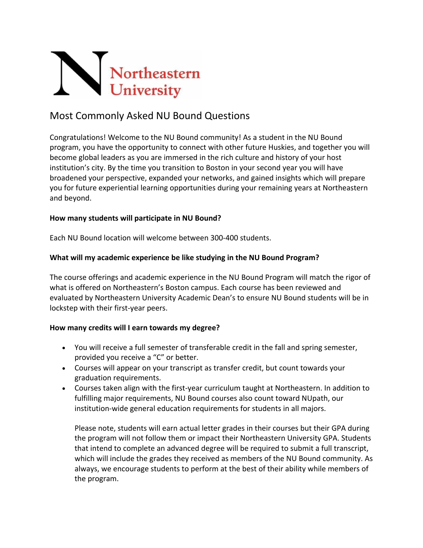

# Most Commonly Asked NU Bound Questions

Congratulations! Welcome to the NU Bound community! As a student in the NU Bound program, you have the opportunity to connect with other future Huskies, and together you will become global leaders as you are immersed in the rich culture and history of your host institution's city. By the time you transition to Boston in your second year you will have broadened your perspective, expanded your networks, and gained insights which will prepare you for future experiential learning opportunities during your remaining years at Northeastern and beyond.

### **How many students will participate in NU Bound?**

Each NU Bound location will welcome between 300-400 students.

### **What will my academic experience be like studying in the NU Bound Program?**

The course offerings and academic experience in the NU Bound Program will match the rigor of what is offered on Northeastern's Boston campus. Each course has been reviewed and evaluated by Northeastern University Academic Dean's to ensure NU Bound students will be in lockstep with their first-year peers.

#### **How many credits will I earn towards my degree?**

- You will receive a full semester of transferable credit in the fall and spring semester, provided you receive a "C" or better.
- Courses will appear on your transcript as transfer credit, but count towards your graduation requirements.
- Courses taken align with the first-year curriculum taught at Northeastern. In addition to fulfilling major requirements, NU Bound courses also count toward NUpath, our institution-wide general education requirements for students in all majors.

Please note, students will earn actual letter grades in their courses but their GPA during the program will not follow them or impact their Northeastern University GPA. Students that intend to complete an advanced degree will be required to submit a full transcript, which will include the grades they received as members of the NU Bound community. As always, we encourage students to perform at the best of their ability while members of the program.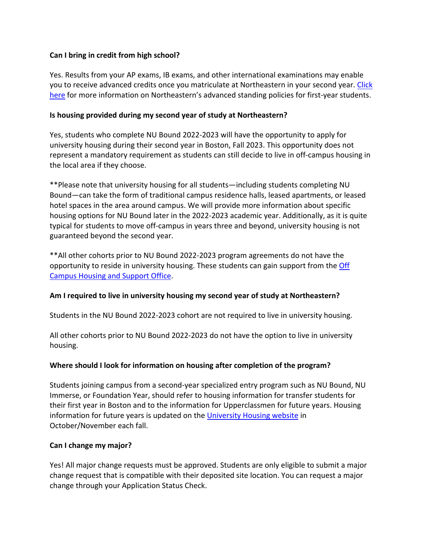### **Can I bring in credit from high school?**

Yes. Results from your AP exams, IB exams, and other international examinations may enable you to receive advanced credits once you matriculate at Northeastern in your second year. Click here for more information on Northeastern's advanced standing policies for first-year students.

### **Is housing provided during my second year of study at Northeastern?**

Yes, students who complete NU Bound 2022-2023 will have the opportunity to apply for university housing during their second year in Boston, Fall 2023. This opportunity does not represent a mandatory requirement as students can still decide to live in off-campus housing in the local area if they choose.

\*\*Please note that university housing for all students—including students completing NU Bound—can take the form of traditional campus residence halls, leased apartments, or leased hotel spaces in the area around campus. We will provide more information about specific housing options for NU Bound later in the 2022-2023 academic year. Additionally, as it is quite typical for students to move off-campus in years three and beyond, university housing is not guaranteed beyond the second year.

\*\*All other cohorts prior to NU Bound 2022-2023 program agreements do not have the opportunity to reside in university housing. These students can gain support from the Off Campus Housing and Support Office.

# **Am I required to live in university housing my second year of study at Northeastern?**

Students in the NU Bound 2022-2023 cohort are not required to live in university housing.

All other cohorts prior to NU Bound 2022-2023 do not have the option to live in university housing.

# **Where should I look for information on housing after completion of the program?**

Students joining campus from a second-year specialized entry program such as NU Bound, NU Immerse, or Foundation Year, should refer to housing information for transfer students for their first year in Boston and to the information for Upperclassmen for future years. Housing information for future years is updated on the University Housing website in October/November each fall.

#### **Can I change my major?**

Yes! All major change requests must be approved. Students are only eligible to submit a major change request that is compatible with their deposited site location. You can request a major change through your Application Status Check.